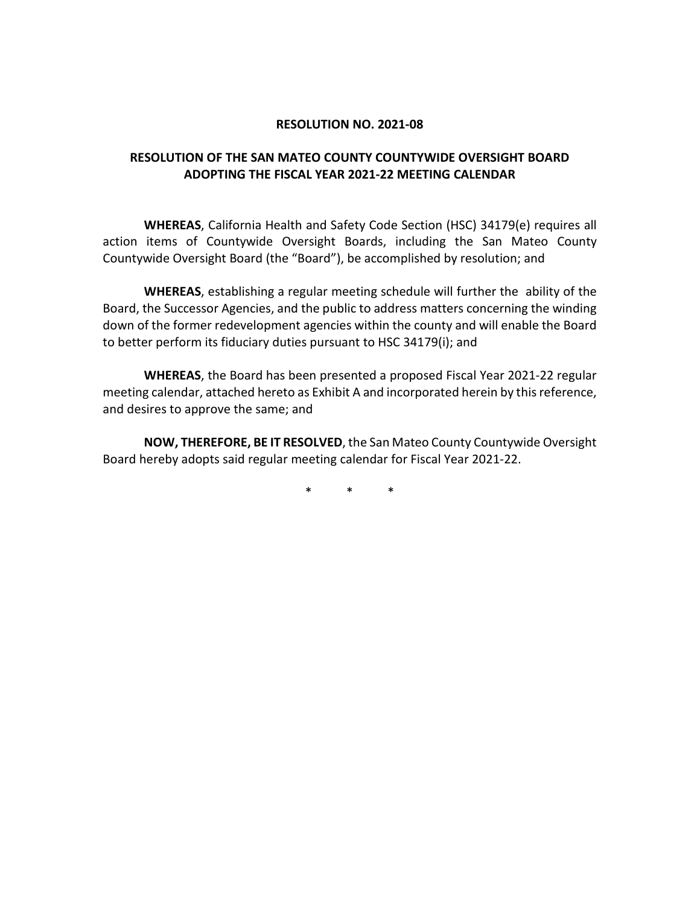#### **RESOLUTION NO. 2021-08**

### **RESOLUTION OF THE SAN MATEO COUNTY COUNTYWIDE OVERSIGHT BOARD ADOPTING THE FISCAL YEAR 2021-22 MEETING CALENDAR**

**WHEREAS**, California Health and Safety Code Section (HSC) 34179(e) requires all action items of Countywide Oversight Boards, including the San Mateo County Countywide Oversight Board (the "Board"), be accomplished by resolution; and

**WHEREAS**, establishing a regular meeting schedule will further the ability of the Board, the Successor Agencies, and the public to address matters concerning the winding down of the former redevelopment agencies within the county and will enable the Board to better perform its fiduciary duties pursuant to HSC 34179(i); and

**WHEREAS**, the Board has been presented a proposed Fiscal Year 2021-22 regular meeting calendar, attached hereto as Exhibit A and incorporated herein by this reference, and desires to approve the same; and

**NOW, THEREFORE, BE IT RESOLVED**, the San Mateo County Countywide Oversight Board hereby adopts said regular meeting calendar for Fiscal Year 2021-22.

\* \* \*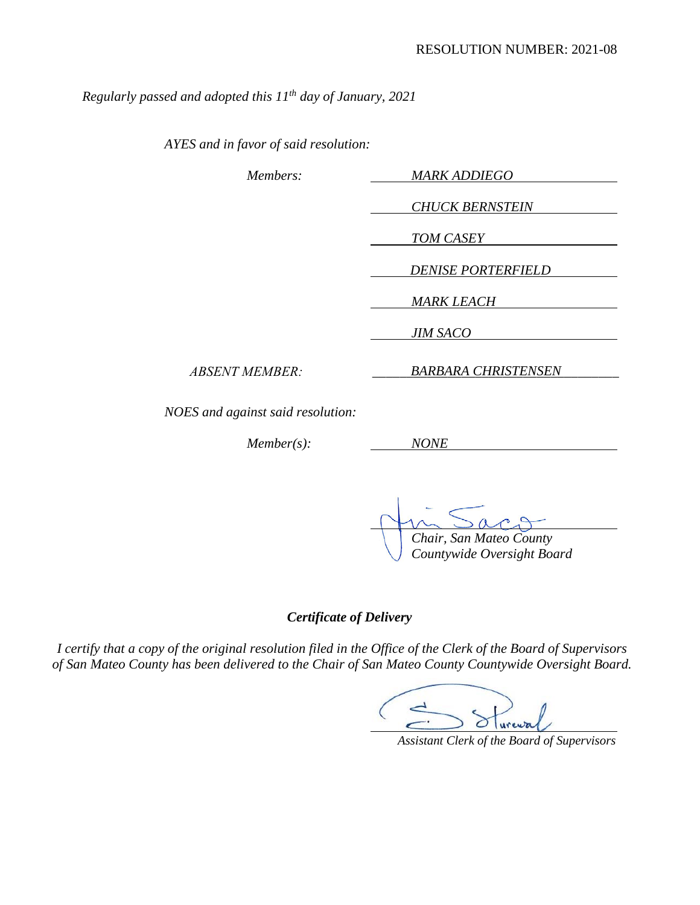*Regularly passed and adopted this 11th day of January, 2021* 

*AYES and in favor of said resolution:* 

| Members:                          | <b>MARK ADDIEGO</b>        |
|-----------------------------------|----------------------------|
|                                   | <b>CHUCK BERNSTEIN</b>     |
|                                   | TOM CASEY                  |
|                                   | <b>DENISE PORTERFIELD</b>  |
|                                   | <b>MARK LEACH</b>          |
|                                   | <b>JIM SACO</b>            |
| <b>ABSENT MEMBER:</b>             | <b>BARBARA CHRISTENSEN</b> |
| NOES and against said resolution: |                            |
| $Member(s)$ :                     | <i>NONE</i>                |

*Chair, San Mateo County* 

*Countywide Oversight Board* 

*Certificate of Delivery*

*I certify that a copy of the original resolution filed in the Office of the Clerk of the Board of Supervisors of San Mateo County has been delivered to the Chair of San Mateo County Countywide Oversight Board.* 

 *Assistant Clerk of the Board of Supervisors*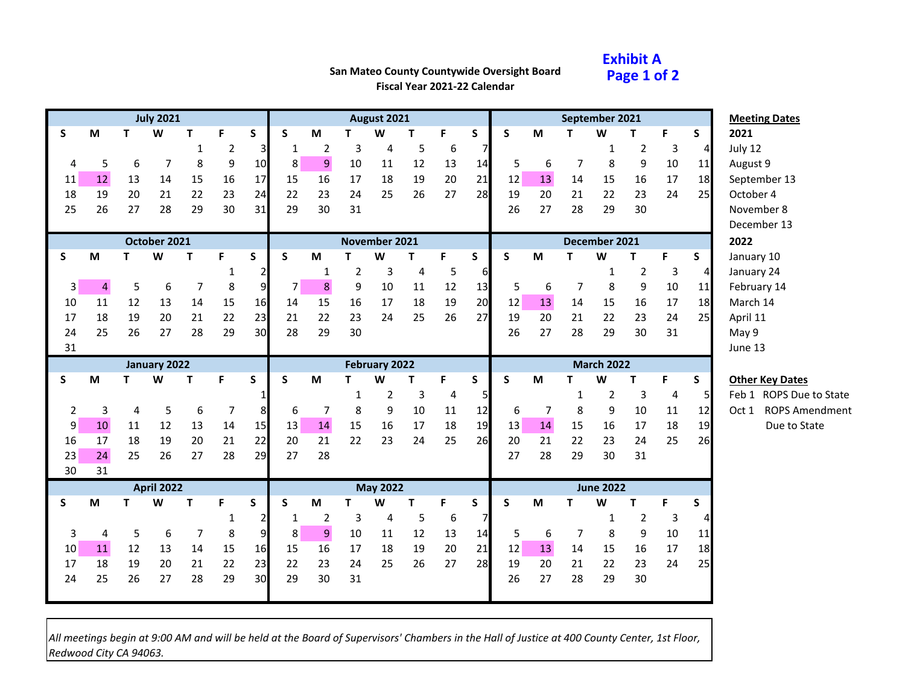### **Exhibit A Page 1 of 2**

# **San Mateo County Countywide Oversight Board**

**Fiscal Year 2021-22 Calendar**

|    |    |                | <b>July 2021</b>  |                |                |                |                |                                                                                       |                | August 2021     |                |                  |                 |              |    |              | September 2021    |                |    |                | <b>Meeting Dates</b>                             |
|----|----|----------------|-------------------|----------------|----------------|----------------|----------------|---------------------------------------------------------------------------------------|----------------|-----------------|----------------|------------------|-----------------|--------------|----|--------------|-------------------|----------------|----|----------------|--------------------------------------------------|
| S  | M  | T              | W                 | т              | F              | S              | S              | M                                                                                     | т              | W               | т              | F                | S               | S            | M  | т            | W                 | т              | F  | S              | 2021                                             |
|    |    |                |                   | $\mathbf{1}$   | $\overline{2}$ | 3              | 1              | $\overline{2}$                                                                        | 3              | 4               | 5              | 6                | 7               |              |    |              | 1                 | 2              | 3  | 4              | July 12                                          |
| 4  | 5  | 6              | 7                 | 8              | 9              | 10             | 8              | $9\,$                                                                                 | 10             | 11              | 12             | 13               | 14              | 5            | 6  | 7            | 8                 | 9              | 10 | 11             | August 9                                         |
| 11 | 12 | 13             | 14                | 15             | 16             | 17             | 15             | 16                                                                                    | 17             | 18              | 19             | 20               | 21              | 12           | 13 | 14           | 15                | 16             | 17 | 18             | September 13                                     |
| 18 | 19 | 20             | 21                | 22             | 23             | 24             | 22             | 23                                                                                    | 24             | 25              | 26             | 27               | 28              | 19           | 20 | 21           | 22                | 23             | 24 | 25             | October 4                                        |
| 25 | 26 | 27             | 28                | 29             | 30             | 31             | 29             | 30                                                                                    | 31             |                 |                |                  |                 | 26           | 27 | 28           | 29                | 30             |    |                | November 8                                       |
|    |    |                |                   |                |                |                |                |                                                                                       |                |                 |                |                  |                 |              |    |              |                   |                |    |                | December 13                                      |
|    |    |                | October 2021      |                |                |                |                |                                                                                       |                | November 2021   |                |                  |                 |              |    |              | December 2021     |                |    |                | 2022                                             |
| S  | M  | T              | W                 | T              | F              | S              | S              | M                                                                                     | $\mathbf T$    | W               | Т              | F                | S               | S            | M  | T            | W                 | T              | F  | S              | January 10                                       |
|    |    |                |                   |                |                |                |                | 1                                                                                     | $\overline{2}$ | $\mathbf{3}$    | $\overline{4}$ | 5                | $6 \overline{}$ |              |    |              | $\mathbf 1$       | $\overline{2}$ | 3  | 4              | January 24                                       |
| 3  | 4  | 5              | $\boldsymbol{6}$  | $\overline{7}$ | 8              | $\overline{9}$ | 7 <sup>1</sup> | $\bf 8$                                                                               | 9              | 10              | 11             | 12               | 13              | 5            | 6  | 7            | 8                 | 9              | 10 | 11             | February 14                                      |
| 10 | 11 | 12             | 13                | 14             | 15             | 16             | 14             | 15                                                                                    | 16             | 17              | 18             | 19               | 20              | 12           | 13 | 14           | 15                | 16             | 17 | 18             | March 14                                         |
| 17 | 18 | 19             | 20                | 21             | 22             | 23             | 21             | 22                                                                                    | 23             | 24              | 25             | 26               | 27              | 19           | 20 | 21           | 22                | 23             | 24 | 25             | April 11                                         |
| 24 | 25 | 26             | 27                | 28             | 29             | 30             | 28             | 29                                                                                    | 30             |                 |                |                  |                 | 26           | 27 | 28           | 29                | 30             | 31 |                | May 9                                            |
| 31 |    |                |                   |                |                |                |                |                                                                                       |                |                 |                |                  |                 |              |    |              |                   |                |    |                | June 13                                          |
|    |    |                |                   |                |                |                |                |                                                                                       |                |                 |                |                  |                 |              |    |              |                   |                |    |                |                                                  |
|    |    |                | January 2022      |                |                |                |                |                                                                                       |                | February 2022   |                |                  |                 |              |    |              | <b>March 2022</b> |                |    |                |                                                  |
| S  | M  | т              | W                 | Τ              | F              | S              | S              | $\mathsf{M}% _{T}=\mathsf{M}_{T}\!\left( a,b\right) ,\ \mathsf{M}_{T}=\mathsf{M}_{T}$ | T              | W               | T              | F                | S               | $\mathsf{s}$ | M  | т            | W                 | T              | F  | S              | <b>Other Key Dates</b>                           |
|    |    |                |                   |                |                |                |                |                                                                                       | 1              | $\overline{2}$  | 3              | 4                | 5               |              |    | $\mathbf{1}$ | $\overline{2}$    | 3              | 4  | 5 <sub>l</sub> |                                                  |
| 2  | 3  | $\overline{4}$ | 5                 | 6              | 7              | 8              | 6              | 7                                                                                     | 8              | 9               | 10             | 11               | 12              | 6            | 7  | 8            | 9                 | 10             | 11 | 12             | Oct 1                                            |
| 9  | 10 | 11             | 12                | 13             | 14             | 15             | 13             | 14                                                                                    | 15             | 16              | 17             | 18               | 19              | 13           | 14 | 15           | 16                | 17             | 18 | 19             | Due to State                                     |
| 16 | 17 | 18             | 19                | 20             | 21             | 22             | 20             | 21                                                                                    | 22             | 23              | 24             | 25               | 26              | 20           | 21 | 22           | 23                | 24             | 25 | 26             |                                                  |
| 23 | 24 | 25             | 26                | 27             | 28             | 29             | 27             | 28                                                                                    |                |                 |                |                  |                 | 27           | 28 | 29           | 30                | 31             |    |                | Feb 1 ROPS Due to State<br><b>ROPS Amendment</b> |
| 30 | 31 |                |                   |                |                |                |                |                                                                                       |                |                 |                |                  |                 |              |    |              |                   |                |    |                |                                                  |
|    |    |                | <b>April 2022</b> |                |                |                |                |                                                                                       |                | <b>May 2022</b> |                |                  |                 |              |    |              | <b>June 2022</b>  |                |    |                |                                                  |
| S  | M  | T.             | W                 | T              | F              | $\mathsf{s}$   | S              | M                                                                                     | T              | W               | T              | F                | S               | $\mathsf{s}$ | M  | T            | W                 | T              | F  | S              |                                                  |
|    |    |                |                   |                | 1              |                | 1              | $\overline{2}$                                                                        | 3              | 4               | 5              | $\boldsymbol{6}$ | 7               |              |    |              | 1                 | $\overline{2}$ | 3  |                |                                                  |
| 3  | 4  | 5              | 6                 | 7              | 8              | $\overline{9}$ | 8              | $9\,$                                                                                 | 10             | 11              | 12             | 13               | 14              | 5            | 6  | 7            | 8                 | 9              | 10 | 11             |                                                  |
| 10 | 11 | 12             | 13                | 14             | 15             | 16             | 15             | 16                                                                                    | 17             | 18              | 19             | 20               | 21              | 12           | 13 | 14           | 15                | 16             | 17 | 18             |                                                  |
| 17 | 18 | 19             | 20                | 21             | 22             | 23             | 22             | 23                                                                                    | 24             | 25              | 26             | 27               | 28              | 19           | 20 | 21           | 22                | 23             | 24 | 25             |                                                  |
| 24 | 25 | 26             | 27                | 28             | 29             | 30             | 29             | 30                                                                                    | 31             |                 |                |                  |                 | 26           | 27 | 28           | 29                | 30             |    |                |                                                  |

*All meetings begin at 9:00 AM and will be held at the Board of Supervisors' Chambers in the Hall of Justice at 400 County Center, 1st Floor, Redwood City CA 94063.*